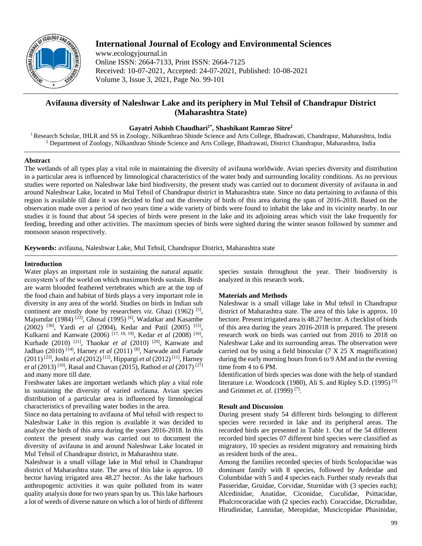

# **International Journal of Ecology and Environmental Sciences**

www.ecologyjournal.in Online ISSN: 2664-7133, Print ISSN: 2664-7125 Received: 10-07-2021, Accepted: 24-07-2021, Published: 10-08-2021 Volume 3, Issue 3, 2021, Page No. 99-101

# **Avifauna diversity of Naleshwar Lake and its periphery in Mul Tehsil of Chandrapur District (Maharashtra State)**

# **Gayatri Ashish Chaudhari1\* , Shashikant Ramrao Sitre<sup>2</sup>**

<sup>1</sup> Research Scholar, IHLR and SS in Zoology, Nilkanthrao Shinde Science and Arts College, Bhadrawati, Chandrapur, Maharashtra, India <sup>2</sup> Department of Zoology, Nilkanthrao Shinde Science and Arts College, Bhadrawati, District Chandrapur, Maharashtra, India

#### **Abstract**

The wetlands of all types play a vital role in maintaining the diversity of avifauna worldwide. Avian species diversity and distribution in a particular area is influenced by limnological characteristics of the water body and surrounding locality conditions. As no previous studies were reported on Naleshwar lake bird biodiversity, the present study was carried out to document diversity of avifauna in and around Naleshwar Lake, located in Mul Tehsil of Chandrapur district in Maharashtra state. Since no data pertaining to avifauna of this region is available till date it was decided to find out the diversity of birds of this area during the span of 2016-2018. Based on the observation made over a period of two years time a wide variety of birds were found to inhabit the lake and its vicinity nearby. In our studies it is found that about 54 species of birds were present in the lake and its adjoining areas which visit the lake frequently for feeding, breeding and other activities. The maximum species of birds were sighted during the winter season followed by summer and monsoon season respectively.

**Keywords:** avifauna, Naleshwar Lake, Mul Tehsil, Chandrapur District, Maharashtra state

#### **Introduction**

Water plays an important role in sustaining the natural aquatic ecosystem's of the world on which maximum birds sustain. Birds are warm blooded feathered vertebrates which are at the top of the food chain and habitat of birds plays a very important role in diversity in any area of the world. Studies on birds in Indian sub continent are mostly done by researchers *viz*. Ghazi (1962)<sup>[5]</sup>, Majumdar (1984)<sup>[22]</sup>, Ghosal (1995)<sup>[6]</sup>, Wadatkar and Kasambe (2002) [30] , Yardi *et al* (2004), Kedar and Patil (2005) [15] , Kulkarni and Kanwate (2006)<sup>[17, 18, 19]</sup>, Kedar *et al* (2008)<sup>[16]</sup>, Kurhade (2010)<sup>[21]</sup>, Thaokar *et al* (2010)<sup>[29]</sup>, Kanwate and Jadhao (2010) [14] , Harney *et al* (2011) [8] , Narwade and Fartade (2011) [23] , Joshi *et al* (2012) [12] , Hippargi *et al* (2012) [11] , Harney *et al* (2013) [10] , Rasal and Chavan (2015), Rathod *et al* (2017) [27] and many more till date.

Freshwater lakes are important wetlands which play a vital role in sustaining the diversity of varied avifauna. Avian species distribution of a particular area is influenced by limnological characteristics of prevailing water bodies in the area.

Since no data pertaining to avifauna of Mul tehsil with respect to Naleshwar Lake in this region is available it was decided to analyze the birds of this area during the years 2016-2018. In this context the present study was carried out to document the diversity of avifauna in and around Naleshwar Lake located in Mul Tehsil of Chandrapur district, in Maharashtra state.

Naleshwar is a small village lake in Mul tehsil in Chandrapur district of Maharashtra state. The area of this lake is approx. 10 hector having irrigated area 48.27 hector. As the lake harbours anthropogenic activities it was quite polluted from its water quality analysis done for two years span by us. This lake harbours a lot of weeds of diverse nature on which a lot of birds of different species sustain throughout the year. Their biodiversity is analyzed in this research work.

# **Materials and Methods**

Naleshwar is a small village lake in Mul tehsil in Chandrapur district of Maharashtra state. The area of this lake is approx. 10 hectore. Present irrigated area is 48.27 hector. A checklist of birds of this area during the years 2016-2018 is prepared. The present research work on birds was carried out from 2016 to 2018 on Naleshwar Lake and its surrounding areas. The observation were carried out by using a field binocular (7 X 25 X magnification) during the early morning hours from 6 to 9 AM and in the evening time from 4 to 6 PM.

Identification of birds species was done with the help of standard literature i.e. Woodcock (1980), Ali S. and Ripley S.D. (1995)<sup>[3]</sup> and Grimmet *et. al*. (1999) [7] .

# **Result and Discussion**

During present study 54 different birds belonging to different species were recorded in lake and its peripheral areas. The recorded birds are presented in Table 1. Out of the 54 different recorded bird species 07 different bird species were classified as migratory, 10 species as resident migratory and remaining birds as resident birds of the area..

Among the families recorded species of birds Scolopacidae was dominant family with 8 species, followed by Ardeidae and Columbidae with 5 and 4 species each. Further study reveals that Passeridae, Gruidae, Corvidae, Sturnidae with (3 species each); Alcedinidae, Anatidae, Ciconidae, Cuculidae, Psittacidae, Phalcrocoracidae with (2 species each). Coraccidae, Dicrudidae, Hirudinidae, Lannidae, Meropidae, Muscicopidae Phasinidae,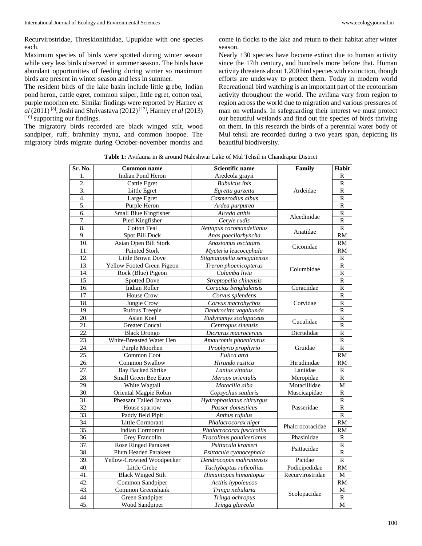Recurvirostridae, Threskionithidae, Upupidae with one species each.

Maximum species of birds were spotted during winter season while very less birds observed in summer season. The birds have abundant opportunities of feeding during winter so maximum birds are present in winter season and less in summer.

The resident birds of the lake basin include little grebe, Indian pond heron, cattle egret, common sniper, little egret, cotton teal, purple moorhen etc. Similar findings were reported by Harney *et al* (2011) [8] , Joshi and Shrivastava (2012) [12] , Harney *et al* (2013) [10] supporting our findings.

The migratory birds recorded are black winged stilt, wood sandpiper, ruff, brahminy myna, and common hoopoe. The migratory birds migrate during October-november months and come in flocks to the lake and return to their habitat after winter season.

Nearly 130 species have become extinct due to human activity since the 17th century, and hundreds more before that. Human activity threatens about 1,200 bird species with extinction, though efforts are underway to protect them. Today in modern world Recreational bird watching is an important part of the ecotourism activity throughout the world. The avifana vary from region to region across the world due to migration and various pressures of man on wetlands. In safeguarding their interest we must protect our beautiful wetlands and find out the species of birds thriving on them. In this research the birds of a perennial water body of Mul tehsil are recorded during a two years span, depicting its beautiful biodiversity.

**Table 1:** Avifauna in & around Naleshwar Lake of Mul Tehsil in Chandrapur District

| <b>Indian Pond Heron</b><br>$\mathbf{1}$ .<br>Aredeola gravii<br>R<br>2.<br><b>Cattle Egret</b><br><b>Bubulcus</b> ibis<br>R<br>$\overline{3}$ .<br>$\mathbb{R}$<br>Little Egret<br>Ardeidae<br>Egretta garzetta<br>4.<br>Large Egret<br>Casmerodius albus<br>R<br>5.<br>Purple Heron<br>Ardea purpurea<br>$\mathbb{R}$<br>6.<br>Small Blue Kingfisher<br>Alcedo atthis<br>R<br>Alcedinidae<br>7.<br>Pied Kingfisher<br>$\mathbf R$<br>Cervle rudis<br>8.<br><b>Cotton Teal</b><br>Nettapus coromandelianus<br>R<br>Anatidae<br>9.<br><b>Spot Bill Duck</b><br>Anas poecilorhyncha<br><b>RM</b><br>Asian Open Bill Stork<br>10.<br>Anastomus osciatans<br>RM<br>Ciconidae<br>11.<br>Painted Stork<br><b>RM</b><br>Mycteria leucocephala<br>$\overline{12}$ .<br>Little Brown Dove<br>Stigmatopelia senegalensis<br>R<br>13.<br>Yellow Footed Green Pigeon<br>$\mathbb{R}$<br>Treron phoenicopterus<br>Columbidae<br>14.<br>Rock (Blue) Pigeon<br>R<br>Columba livia<br>15.<br><b>Spotted Dove</b><br>Streptopelia chinensis<br>R<br>Coraciidae<br>16.<br><b>Indian Roller</b><br>$\mathbb{R}$<br>Coracias benghalensis<br>17.<br><b>House Crow</b><br>$\mathbb{R}$<br>Corvus splendens<br>18.<br>Jungle Crow<br>Corvus macrohychos<br>Corvidae<br>R<br>$\overline{19}$ .<br>$\overline{R}$<br>Rufous Treepie<br>Dendrocitta vagabunda<br>20.<br>Asian Koel<br>$\mathbb{R}$<br>Eudynamys scolopaceus<br>Cuculidae<br>21.<br><b>Greater Coucal</b><br>Centropus sinensis<br>$\mathbb{R}$<br>22.<br>Dicrudidae<br><b>Black Drongo</b><br>R<br>Dicrurus macrocercus<br>23.<br>Amauromis phoenicurus<br>$\mathbf R$<br>White-Breasted Water Hen<br>24.<br>Prophyrio prophyrio<br>$\mathbb{R}$<br>Purple Moorhen<br>Gruidae<br>25.<br>Common Coot<br>Fulica atra<br><b>RM</b><br>Hirudinidae<br>26.<br>Common Swallow<br>Hirundo rustica<br>RM<br>$\overline{27}$ .<br>Laniidae<br><b>Bay Backed Shrike</b><br>Lanius vittatus<br>R<br>28.<br>$\overline{\mathbf{R}}$<br>Small Green Bee Eater<br>Merops orientalis<br>Meropidae<br>29.<br>White Wagtail<br>Motacilla alba<br>Motacillidae<br>М<br>$\overline{30}$ .<br>Oriental Magpie Robin<br>Muscicapidae<br>R<br>Copsychus saularis<br>Pheasant Tailed Jacana<br>31.<br>Hydrophasianus chirurgus<br>R<br>32.<br>$\overline{R}$<br>Passeridae<br>House sparrow<br>Passer domesticus<br>33.<br>$\mathsf{R}$<br>Paddy field Pipit<br>Anthus rufulus<br>34.<br>Little Cormorant<br>Phalacrocorax niger<br>RM<br>Phalcrocoracidae<br>$\overline{35}$ .<br><b>Indian Cormorant</b><br><b>RM</b><br>Phalacrocorax fuscicollis<br>36.<br>Phasinidae<br>Grey Francolin<br>Fracolinus pondicerianus<br>R<br>37.<br><b>Rose Ringed Parakeet</b><br>Psittacula krameri<br>R<br>Psittacidae<br>38.<br>Plum Headed Parakeet<br>$\mathbb{R}$<br>Psittacula cyanocephala<br>39.<br>Yellow-Crowned Woodpecker<br>Picidae<br>$\mathbb{R}$<br>Dendrocopus mahrattensis<br>40.<br>Podicipedidae<br>$\overline{RM}$<br>Little Grebe<br>Tachybaptus ruficollius<br>41.<br><b>Black Winged Stilt</b><br>Himantopus himantopus<br>Recurvirostridae<br>M<br>42.<br>Common Sandpiper<br>Actitis hypoleucos<br>RM | Sr. No. | <b>Common name</b> | Scientific name  | Family       | Habit |
|---------------------------------------------------------------------------------------------------------------------------------------------------------------------------------------------------------------------------------------------------------------------------------------------------------------------------------------------------------------------------------------------------------------------------------------------------------------------------------------------------------------------------------------------------------------------------------------------------------------------------------------------------------------------------------------------------------------------------------------------------------------------------------------------------------------------------------------------------------------------------------------------------------------------------------------------------------------------------------------------------------------------------------------------------------------------------------------------------------------------------------------------------------------------------------------------------------------------------------------------------------------------------------------------------------------------------------------------------------------------------------------------------------------------------------------------------------------------------------------------------------------------------------------------------------------------------------------------------------------------------------------------------------------------------------------------------------------------------------------------------------------------------------------------------------------------------------------------------------------------------------------------------------------------------------------------------------------------------------------------------------------------------------------------------------------------------------------------------------------------------------------------------------------------------------------------------------------------------------------------------------------------------------------------------------------------------------------------------------------------------------------------------------------------------------------------------------------------------------------------------------------------------------------------------------------------------------------------------------------------------------------------------------------------------------------------------------------------------------------------------------------------------------------------------------------------------------------------------------------------------------------------------------------------------------------------------------------------------------------------------------------------------------------------------------------------------------------------------------------------------------------|---------|--------------------|------------------|--------------|-------|
|                                                                                                                                                                                                                                                                                                                                                                                                                                                                                                                                                                                                                                                                                                                                                                                                                                                                                                                                                                                                                                                                                                                                                                                                                                                                                                                                                                                                                                                                                                                                                                                                                                                                                                                                                                                                                                                                                                                                                                                                                                                                                                                                                                                                                                                                                                                                                                                                                                                                                                                                                                                                                                                                                                                                                                                                                                                                                                                                                                                                                                                                                                                                       |         |                    |                  |              |       |
|                                                                                                                                                                                                                                                                                                                                                                                                                                                                                                                                                                                                                                                                                                                                                                                                                                                                                                                                                                                                                                                                                                                                                                                                                                                                                                                                                                                                                                                                                                                                                                                                                                                                                                                                                                                                                                                                                                                                                                                                                                                                                                                                                                                                                                                                                                                                                                                                                                                                                                                                                                                                                                                                                                                                                                                                                                                                                                                                                                                                                                                                                                                                       |         |                    |                  |              |       |
|                                                                                                                                                                                                                                                                                                                                                                                                                                                                                                                                                                                                                                                                                                                                                                                                                                                                                                                                                                                                                                                                                                                                                                                                                                                                                                                                                                                                                                                                                                                                                                                                                                                                                                                                                                                                                                                                                                                                                                                                                                                                                                                                                                                                                                                                                                                                                                                                                                                                                                                                                                                                                                                                                                                                                                                                                                                                                                                                                                                                                                                                                                                                       |         |                    |                  |              |       |
|                                                                                                                                                                                                                                                                                                                                                                                                                                                                                                                                                                                                                                                                                                                                                                                                                                                                                                                                                                                                                                                                                                                                                                                                                                                                                                                                                                                                                                                                                                                                                                                                                                                                                                                                                                                                                                                                                                                                                                                                                                                                                                                                                                                                                                                                                                                                                                                                                                                                                                                                                                                                                                                                                                                                                                                                                                                                                                                                                                                                                                                                                                                                       |         |                    |                  |              |       |
|                                                                                                                                                                                                                                                                                                                                                                                                                                                                                                                                                                                                                                                                                                                                                                                                                                                                                                                                                                                                                                                                                                                                                                                                                                                                                                                                                                                                                                                                                                                                                                                                                                                                                                                                                                                                                                                                                                                                                                                                                                                                                                                                                                                                                                                                                                                                                                                                                                                                                                                                                                                                                                                                                                                                                                                                                                                                                                                                                                                                                                                                                                                                       |         |                    |                  |              |       |
|                                                                                                                                                                                                                                                                                                                                                                                                                                                                                                                                                                                                                                                                                                                                                                                                                                                                                                                                                                                                                                                                                                                                                                                                                                                                                                                                                                                                                                                                                                                                                                                                                                                                                                                                                                                                                                                                                                                                                                                                                                                                                                                                                                                                                                                                                                                                                                                                                                                                                                                                                                                                                                                                                                                                                                                                                                                                                                                                                                                                                                                                                                                                       |         |                    |                  |              |       |
|                                                                                                                                                                                                                                                                                                                                                                                                                                                                                                                                                                                                                                                                                                                                                                                                                                                                                                                                                                                                                                                                                                                                                                                                                                                                                                                                                                                                                                                                                                                                                                                                                                                                                                                                                                                                                                                                                                                                                                                                                                                                                                                                                                                                                                                                                                                                                                                                                                                                                                                                                                                                                                                                                                                                                                                                                                                                                                                                                                                                                                                                                                                                       |         |                    |                  |              |       |
|                                                                                                                                                                                                                                                                                                                                                                                                                                                                                                                                                                                                                                                                                                                                                                                                                                                                                                                                                                                                                                                                                                                                                                                                                                                                                                                                                                                                                                                                                                                                                                                                                                                                                                                                                                                                                                                                                                                                                                                                                                                                                                                                                                                                                                                                                                                                                                                                                                                                                                                                                                                                                                                                                                                                                                                                                                                                                                                                                                                                                                                                                                                                       |         |                    |                  |              |       |
|                                                                                                                                                                                                                                                                                                                                                                                                                                                                                                                                                                                                                                                                                                                                                                                                                                                                                                                                                                                                                                                                                                                                                                                                                                                                                                                                                                                                                                                                                                                                                                                                                                                                                                                                                                                                                                                                                                                                                                                                                                                                                                                                                                                                                                                                                                                                                                                                                                                                                                                                                                                                                                                                                                                                                                                                                                                                                                                                                                                                                                                                                                                                       |         |                    |                  |              |       |
|                                                                                                                                                                                                                                                                                                                                                                                                                                                                                                                                                                                                                                                                                                                                                                                                                                                                                                                                                                                                                                                                                                                                                                                                                                                                                                                                                                                                                                                                                                                                                                                                                                                                                                                                                                                                                                                                                                                                                                                                                                                                                                                                                                                                                                                                                                                                                                                                                                                                                                                                                                                                                                                                                                                                                                                                                                                                                                                                                                                                                                                                                                                                       |         |                    |                  |              |       |
|                                                                                                                                                                                                                                                                                                                                                                                                                                                                                                                                                                                                                                                                                                                                                                                                                                                                                                                                                                                                                                                                                                                                                                                                                                                                                                                                                                                                                                                                                                                                                                                                                                                                                                                                                                                                                                                                                                                                                                                                                                                                                                                                                                                                                                                                                                                                                                                                                                                                                                                                                                                                                                                                                                                                                                                                                                                                                                                                                                                                                                                                                                                                       |         |                    |                  |              |       |
|                                                                                                                                                                                                                                                                                                                                                                                                                                                                                                                                                                                                                                                                                                                                                                                                                                                                                                                                                                                                                                                                                                                                                                                                                                                                                                                                                                                                                                                                                                                                                                                                                                                                                                                                                                                                                                                                                                                                                                                                                                                                                                                                                                                                                                                                                                                                                                                                                                                                                                                                                                                                                                                                                                                                                                                                                                                                                                                                                                                                                                                                                                                                       |         |                    |                  |              |       |
|                                                                                                                                                                                                                                                                                                                                                                                                                                                                                                                                                                                                                                                                                                                                                                                                                                                                                                                                                                                                                                                                                                                                                                                                                                                                                                                                                                                                                                                                                                                                                                                                                                                                                                                                                                                                                                                                                                                                                                                                                                                                                                                                                                                                                                                                                                                                                                                                                                                                                                                                                                                                                                                                                                                                                                                                                                                                                                                                                                                                                                                                                                                                       |         |                    |                  |              |       |
|                                                                                                                                                                                                                                                                                                                                                                                                                                                                                                                                                                                                                                                                                                                                                                                                                                                                                                                                                                                                                                                                                                                                                                                                                                                                                                                                                                                                                                                                                                                                                                                                                                                                                                                                                                                                                                                                                                                                                                                                                                                                                                                                                                                                                                                                                                                                                                                                                                                                                                                                                                                                                                                                                                                                                                                                                                                                                                                                                                                                                                                                                                                                       |         |                    |                  |              |       |
|                                                                                                                                                                                                                                                                                                                                                                                                                                                                                                                                                                                                                                                                                                                                                                                                                                                                                                                                                                                                                                                                                                                                                                                                                                                                                                                                                                                                                                                                                                                                                                                                                                                                                                                                                                                                                                                                                                                                                                                                                                                                                                                                                                                                                                                                                                                                                                                                                                                                                                                                                                                                                                                                                                                                                                                                                                                                                                                                                                                                                                                                                                                                       |         |                    |                  |              |       |
|                                                                                                                                                                                                                                                                                                                                                                                                                                                                                                                                                                                                                                                                                                                                                                                                                                                                                                                                                                                                                                                                                                                                                                                                                                                                                                                                                                                                                                                                                                                                                                                                                                                                                                                                                                                                                                                                                                                                                                                                                                                                                                                                                                                                                                                                                                                                                                                                                                                                                                                                                                                                                                                                                                                                                                                                                                                                                                                                                                                                                                                                                                                                       |         |                    |                  |              |       |
|                                                                                                                                                                                                                                                                                                                                                                                                                                                                                                                                                                                                                                                                                                                                                                                                                                                                                                                                                                                                                                                                                                                                                                                                                                                                                                                                                                                                                                                                                                                                                                                                                                                                                                                                                                                                                                                                                                                                                                                                                                                                                                                                                                                                                                                                                                                                                                                                                                                                                                                                                                                                                                                                                                                                                                                                                                                                                                                                                                                                                                                                                                                                       |         |                    |                  |              |       |
|                                                                                                                                                                                                                                                                                                                                                                                                                                                                                                                                                                                                                                                                                                                                                                                                                                                                                                                                                                                                                                                                                                                                                                                                                                                                                                                                                                                                                                                                                                                                                                                                                                                                                                                                                                                                                                                                                                                                                                                                                                                                                                                                                                                                                                                                                                                                                                                                                                                                                                                                                                                                                                                                                                                                                                                                                                                                                                                                                                                                                                                                                                                                       |         |                    |                  |              |       |
|                                                                                                                                                                                                                                                                                                                                                                                                                                                                                                                                                                                                                                                                                                                                                                                                                                                                                                                                                                                                                                                                                                                                                                                                                                                                                                                                                                                                                                                                                                                                                                                                                                                                                                                                                                                                                                                                                                                                                                                                                                                                                                                                                                                                                                                                                                                                                                                                                                                                                                                                                                                                                                                                                                                                                                                                                                                                                                                                                                                                                                                                                                                                       |         |                    |                  |              |       |
|                                                                                                                                                                                                                                                                                                                                                                                                                                                                                                                                                                                                                                                                                                                                                                                                                                                                                                                                                                                                                                                                                                                                                                                                                                                                                                                                                                                                                                                                                                                                                                                                                                                                                                                                                                                                                                                                                                                                                                                                                                                                                                                                                                                                                                                                                                                                                                                                                                                                                                                                                                                                                                                                                                                                                                                                                                                                                                                                                                                                                                                                                                                                       |         |                    |                  |              |       |
|                                                                                                                                                                                                                                                                                                                                                                                                                                                                                                                                                                                                                                                                                                                                                                                                                                                                                                                                                                                                                                                                                                                                                                                                                                                                                                                                                                                                                                                                                                                                                                                                                                                                                                                                                                                                                                                                                                                                                                                                                                                                                                                                                                                                                                                                                                                                                                                                                                                                                                                                                                                                                                                                                                                                                                                                                                                                                                                                                                                                                                                                                                                                       |         |                    |                  |              |       |
|                                                                                                                                                                                                                                                                                                                                                                                                                                                                                                                                                                                                                                                                                                                                                                                                                                                                                                                                                                                                                                                                                                                                                                                                                                                                                                                                                                                                                                                                                                                                                                                                                                                                                                                                                                                                                                                                                                                                                                                                                                                                                                                                                                                                                                                                                                                                                                                                                                                                                                                                                                                                                                                                                                                                                                                                                                                                                                                                                                                                                                                                                                                                       |         |                    |                  |              |       |
|                                                                                                                                                                                                                                                                                                                                                                                                                                                                                                                                                                                                                                                                                                                                                                                                                                                                                                                                                                                                                                                                                                                                                                                                                                                                                                                                                                                                                                                                                                                                                                                                                                                                                                                                                                                                                                                                                                                                                                                                                                                                                                                                                                                                                                                                                                                                                                                                                                                                                                                                                                                                                                                                                                                                                                                                                                                                                                                                                                                                                                                                                                                                       |         |                    |                  |              |       |
|                                                                                                                                                                                                                                                                                                                                                                                                                                                                                                                                                                                                                                                                                                                                                                                                                                                                                                                                                                                                                                                                                                                                                                                                                                                                                                                                                                                                                                                                                                                                                                                                                                                                                                                                                                                                                                                                                                                                                                                                                                                                                                                                                                                                                                                                                                                                                                                                                                                                                                                                                                                                                                                                                                                                                                                                                                                                                                                                                                                                                                                                                                                                       |         |                    |                  |              |       |
|                                                                                                                                                                                                                                                                                                                                                                                                                                                                                                                                                                                                                                                                                                                                                                                                                                                                                                                                                                                                                                                                                                                                                                                                                                                                                                                                                                                                                                                                                                                                                                                                                                                                                                                                                                                                                                                                                                                                                                                                                                                                                                                                                                                                                                                                                                                                                                                                                                                                                                                                                                                                                                                                                                                                                                                                                                                                                                                                                                                                                                                                                                                                       |         |                    |                  |              |       |
|                                                                                                                                                                                                                                                                                                                                                                                                                                                                                                                                                                                                                                                                                                                                                                                                                                                                                                                                                                                                                                                                                                                                                                                                                                                                                                                                                                                                                                                                                                                                                                                                                                                                                                                                                                                                                                                                                                                                                                                                                                                                                                                                                                                                                                                                                                                                                                                                                                                                                                                                                                                                                                                                                                                                                                                                                                                                                                                                                                                                                                                                                                                                       |         |                    |                  |              |       |
|                                                                                                                                                                                                                                                                                                                                                                                                                                                                                                                                                                                                                                                                                                                                                                                                                                                                                                                                                                                                                                                                                                                                                                                                                                                                                                                                                                                                                                                                                                                                                                                                                                                                                                                                                                                                                                                                                                                                                                                                                                                                                                                                                                                                                                                                                                                                                                                                                                                                                                                                                                                                                                                                                                                                                                                                                                                                                                                                                                                                                                                                                                                                       |         |                    |                  |              |       |
|                                                                                                                                                                                                                                                                                                                                                                                                                                                                                                                                                                                                                                                                                                                                                                                                                                                                                                                                                                                                                                                                                                                                                                                                                                                                                                                                                                                                                                                                                                                                                                                                                                                                                                                                                                                                                                                                                                                                                                                                                                                                                                                                                                                                                                                                                                                                                                                                                                                                                                                                                                                                                                                                                                                                                                                                                                                                                                                                                                                                                                                                                                                                       |         |                    |                  |              |       |
|                                                                                                                                                                                                                                                                                                                                                                                                                                                                                                                                                                                                                                                                                                                                                                                                                                                                                                                                                                                                                                                                                                                                                                                                                                                                                                                                                                                                                                                                                                                                                                                                                                                                                                                                                                                                                                                                                                                                                                                                                                                                                                                                                                                                                                                                                                                                                                                                                                                                                                                                                                                                                                                                                                                                                                                                                                                                                                                                                                                                                                                                                                                                       |         |                    |                  |              |       |
|                                                                                                                                                                                                                                                                                                                                                                                                                                                                                                                                                                                                                                                                                                                                                                                                                                                                                                                                                                                                                                                                                                                                                                                                                                                                                                                                                                                                                                                                                                                                                                                                                                                                                                                                                                                                                                                                                                                                                                                                                                                                                                                                                                                                                                                                                                                                                                                                                                                                                                                                                                                                                                                                                                                                                                                                                                                                                                                                                                                                                                                                                                                                       |         |                    |                  |              |       |
|                                                                                                                                                                                                                                                                                                                                                                                                                                                                                                                                                                                                                                                                                                                                                                                                                                                                                                                                                                                                                                                                                                                                                                                                                                                                                                                                                                                                                                                                                                                                                                                                                                                                                                                                                                                                                                                                                                                                                                                                                                                                                                                                                                                                                                                                                                                                                                                                                                                                                                                                                                                                                                                                                                                                                                                                                                                                                                                                                                                                                                                                                                                                       |         |                    |                  |              |       |
|                                                                                                                                                                                                                                                                                                                                                                                                                                                                                                                                                                                                                                                                                                                                                                                                                                                                                                                                                                                                                                                                                                                                                                                                                                                                                                                                                                                                                                                                                                                                                                                                                                                                                                                                                                                                                                                                                                                                                                                                                                                                                                                                                                                                                                                                                                                                                                                                                                                                                                                                                                                                                                                                                                                                                                                                                                                                                                                                                                                                                                                                                                                                       |         |                    |                  |              |       |
|                                                                                                                                                                                                                                                                                                                                                                                                                                                                                                                                                                                                                                                                                                                                                                                                                                                                                                                                                                                                                                                                                                                                                                                                                                                                                                                                                                                                                                                                                                                                                                                                                                                                                                                                                                                                                                                                                                                                                                                                                                                                                                                                                                                                                                                                                                                                                                                                                                                                                                                                                                                                                                                                                                                                                                                                                                                                                                                                                                                                                                                                                                                                       |         |                    |                  |              |       |
|                                                                                                                                                                                                                                                                                                                                                                                                                                                                                                                                                                                                                                                                                                                                                                                                                                                                                                                                                                                                                                                                                                                                                                                                                                                                                                                                                                                                                                                                                                                                                                                                                                                                                                                                                                                                                                                                                                                                                                                                                                                                                                                                                                                                                                                                                                                                                                                                                                                                                                                                                                                                                                                                                                                                                                                                                                                                                                                                                                                                                                                                                                                                       |         |                    |                  |              |       |
|                                                                                                                                                                                                                                                                                                                                                                                                                                                                                                                                                                                                                                                                                                                                                                                                                                                                                                                                                                                                                                                                                                                                                                                                                                                                                                                                                                                                                                                                                                                                                                                                                                                                                                                                                                                                                                                                                                                                                                                                                                                                                                                                                                                                                                                                                                                                                                                                                                                                                                                                                                                                                                                                                                                                                                                                                                                                                                                                                                                                                                                                                                                                       |         |                    |                  |              |       |
|                                                                                                                                                                                                                                                                                                                                                                                                                                                                                                                                                                                                                                                                                                                                                                                                                                                                                                                                                                                                                                                                                                                                                                                                                                                                                                                                                                                                                                                                                                                                                                                                                                                                                                                                                                                                                                                                                                                                                                                                                                                                                                                                                                                                                                                                                                                                                                                                                                                                                                                                                                                                                                                                                                                                                                                                                                                                                                                                                                                                                                                                                                                                       |         |                    |                  |              |       |
|                                                                                                                                                                                                                                                                                                                                                                                                                                                                                                                                                                                                                                                                                                                                                                                                                                                                                                                                                                                                                                                                                                                                                                                                                                                                                                                                                                                                                                                                                                                                                                                                                                                                                                                                                                                                                                                                                                                                                                                                                                                                                                                                                                                                                                                                                                                                                                                                                                                                                                                                                                                                                                                                                                                                                                                                                                                                                                                                                                                                                                                                                                                                       |         |                    |                  |              |       |
|                                                                                                                                                                                                                                                                                                                                                                                                                                                                                                                                                                                                                                                                                                                                                                                                                                                                                                                                                                                                                                                                                                                                                                                                                                                                                                                                                                                                                                                                                                                                                                                                                                                                                                                                                                                                                                                                                                                                                                                                                                                                                                                                                                                                                                                                                                                                                                                                                                                                                                                                                                                                                                                                                                                                                                                                                                                                                                                                                                                                                                                                                                                                       |         |                    |                  |              |       |
|                                                                                                                                                                                                                                                                                                                                                                                                                                                                                                                                                                                                                                                                                                                                                                                                                                                                                                                                                                                                                                                                                                                                                                                                                                                                                                                                                                                                                                                                                                                                                                                                                                                                                                                                                                                                                                                                                                                                                                                                                                                                                                                                                                                                                                                                                                                                                                                                                                                                                                                                                                                                                                                                                                                                                                                                                                                                                                                                                                                                                                                                                                                                       |         |                    |                  |              |       |
|                                                                                                                                                                                                                                                                                                                                                                                                                                                                                                                                                                                                                                                                                                                                                                                                                                                                                                                                                                                                                                                                                                                                                                                                                                                                                                                                                                                                                                                                                                                                                                                                                                                                                                                                                                                                                                                                                                                                                                                                                                                                                                                                                                                                                                                                                                                                                                                                                                                                                                                                                                                                                                                                                                                                                                                                                                                                                                                                                                                                                                                                                                                                       |         |                    |                  |              |       |
|                                                                                                                                                                                                                                                                                                                                                                                                                                                                                                                                                                                                                                                                                                                                                                                                                                                                                                                                                                                                                                                                                                                                                                                                                                                                                                                                                                                                                                                                                                                                                                                                                                                                                                                                                                                                                                                                                                                                                                                                                                                                                                                                                                                                                                                                                                                                                                                                                                                                                                                                                                                                                                                                                                                                                                                                                                                                                                                                                                                                                                                                                                                                       |         |                    |                  |              |       |
|                                                                                                                                                                                                                                                                                                                                                                                                                                                                                                                                                                                                                                                                                                                                                                                                                                                                                                                                                                                                                                                                                                                                                                                                                                                                                                                                                                                                                                                                                                                                                                                                                                                                                                                                                                                                                                                                                                                                                                                                                                                                                                                                                                                                                                                                                                                                                                                                                                                                                                                                                                                                                                                                                                                                                                                                                                                                                                                                                                                                                                                                                                                                       |         |                    |                  | Scolopacidae |       |
|                                                                                                                                                                                                                                                                                                                                                                                                                                                                                                                                                                                                                                                                                                                                                                                                                                                                                                                                                                                                                                                                                                                                                                                                                                                                                                                                                                                                                                                                                                                                                                                                                                                                                                                                                                                                                                                                                                                                                                                                                                                                                                                                                                                                                                                                                                                                                                                                                                                                                                                                                                                                                                                                                                                                                                                                                                                                                                                                                                                                                                                                                                                                       | 43.     | Common Greenshank  | Tringa nebularia |              | М     |
| 44.<br>Green Sandpiper<br>Tringa ochropus<br>R                                                                                                                                                                                                                                                                                                                                                                                                                                                                                                                                                                                                                                                                                                                                                                                                                                                                                                                                                                                                                                                                                                                                                                                                                                                                                                                                                                                                                                                                                                                                                                                                                                                                                                                                                                                                                                                                                                                                                                                                                                                                                                                                                                                                                                                                                                                                                                                                                                                                                                                                                                                                                                                                                                                                                                                                                                                                                                                                                                                                                                                                                        |         |                    |                  |              |       |
| 45.<br>Wood Sandpiper<br>Tringa glareola<br>M                                                                                                                                                                                                                                                                                                                                                                                                                                                                                                                                                                                                                                                                                                                                                                                                                                                                                                                                                                                                                                                                                                                                                                                                                                                                                                                                                                                                                                                                                                                                                                                                                                                                                                                                                                                                                                                                                                                                                                                                                                                                                                                                                                                                                                                                                                                                                                                                                                                                                                                                                                                                                                                                                                                                                                                                                                                                                                                                                                                                                                                                                         |         |                    |                  |              |       |